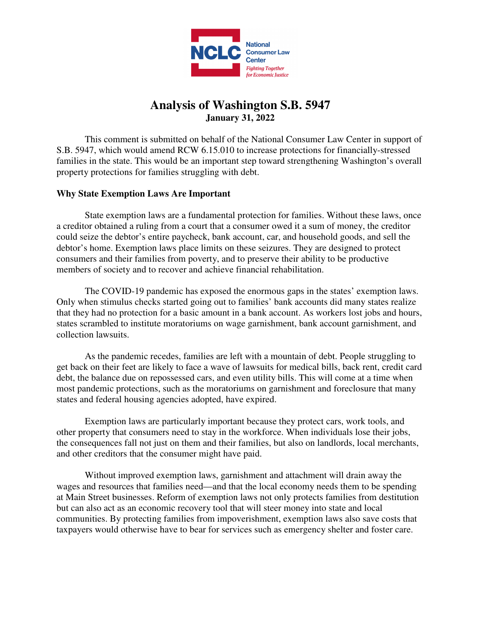

# **Analysis of Washington S.B. 5947 January 31, 2022**

 This comment is submitted on behalf of the National Consumer Law Center in support of S.B. 5947, which would amend RCW 6.15.010 to increase protections for financially-stressed families in the state. This would be an important step toward strengthening Washington's overall property protections for families struggling with debt.

## **Why State Exemption Laws Are Important**

State exemption laws are a fundamental protection for families. Without these laws, once a creditor obtained a ruling from a court that a consumer owed it a sum of money, the creditor could seize the debtor's entire paycheck, bank account, car, and household goods, and sell the debtor's home. Exemption laws place limits on these seizures. They are designed to protect consumers and their families from poverty, and to preserve their ability to be productive members of society and to recover and achieve financial rehabilitation.

The COVID-19 pandemic has exposed the enormous gaps in the states' exemption laws. Only when stimulus checks started going out to families' bank accounts did many states realize that they had no protection for a basic amount in a bank account. As workers lost jobs and hours, states scrambled to institute moratoriums on wage garnishment, bank account garnishment, and collection lawsuits.

As the pandemic recedes, families are left with a mountain of debt. People struggling to get back on their feet are likely to face a wave of lawsuits for medical bills, back rent, credit card debt, the balance due on repossessed cars, and even utility bills. This will come at a time when most pandemic protections, such as the moratoriums on garnishment and foreclosure that many states and federal housing agencies adopted, have expired.

Exemption laws are particularly important because they protect cars, work tools, and other property that consumers need to stay in the workforce. When individuals lose their jobs, the consequences fall not just on them and their families, but also on landlords, local merchants, and other creditors that the consumer might have paid.

Without improved exemption laws, garnishment and attachment will drain away the wages and resources that families need—and that the local economy needs them to be spending at Main Street businesses. Reform of exemption laws not only protects families from destitution but can also act as an economic recovery tool that will steer money into state and local communities. By protecting families from impoverishment, exemption laws also save costs that taxpayers would otherwise have to bear for services such as emergency shelter and foster care.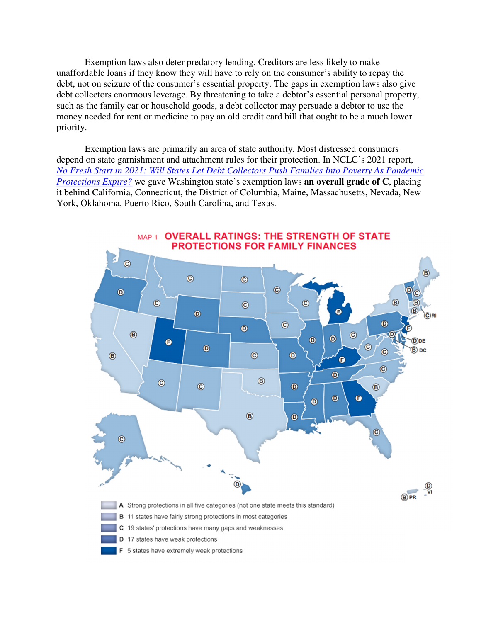Exemption laws also deter predatory lending. Creditors are less likely to make unaffordable loans if they know they will have to rely on the consumer's ability to repay the debt, not on seizure of the consumer's essential property. The gaps in exemption laws also give debt collectors enormous leverage. By threatening to take a debtor's essential personal property, such as the family car or household goods, a debt collector may persuade a debtor to use the money needed for rent or medicine to pay an old credit card bill that ought to be a much lower priority.

Exemption laws are primarily an area of state authority. Most distressed consumers depend on state garnishment and attachment rules for their protection. In NCLC's 2021 report, *No Fresh Start in 2021: Will States Let Debt Collectors Push Families Into Poverty As Pandemic Protections Expire?* we gave Washington state's exemption laws **an overall grade of C**, placing it behind California, Connecticut, the District of Columbia, Maine, Massachusetts, Nevada, New York, Oklahoma, Puerto Rico, South Carolina, and Texas.

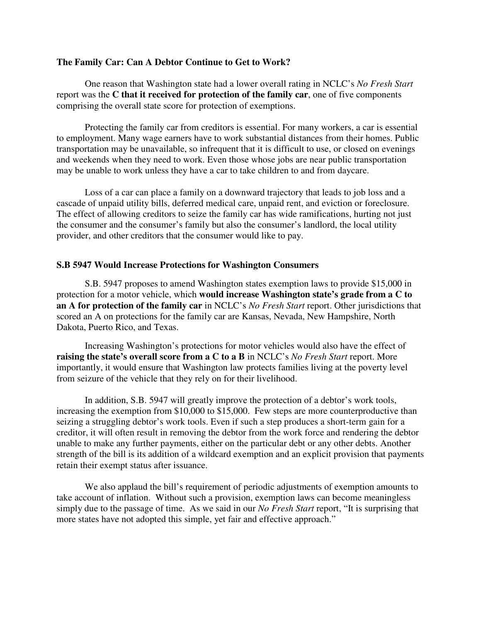#### **The Family Car: Can A Debtor Continue to Get to Work?**

One reason that Washington state had a lower overall rating in NCLC's *No Fresh Start*  report was the **C that it received for protection of the family car**, one of five components comprising the overall state score for protection of exemptions.

Protecting the family car from creditors is essential. For many workers, a car is essential to employment. Many wage earners have to work substantial distances from their homes. Public transportation may be unavailable, so infrequent that it is difficult to use, or closed on evenings and weekends when they need to work. Even those whose jobs are near public transportation may be unable to work unless they have a car to take children to and from daycare.

Loss of a car can place a family on a downward trajectory that leads to job loss and a cascade of unpaid utility bills, deferred medical care, unpaid rent, and eviction or foreclosure. The effect of allowing creditors to seize the family car has wide ramifications, hurting not just the consumer and the consumer's family but also the consumer's landlord, the local utility provider, and other creditors that the consumer would like to pay.

#### **S.B 5947 Would Increase Protections for Washington Consumers**

S.B. 5947 proposes to amend Washington states exemption laws to provide \$15,000 in protection for a motor vehicle, which **would increase Washington state's grade from a C to an A for protection of the family car** in NCLC's *No Fresh Start* report. Other jurisdictions that scored an A on protections for the family car are Kansas, Nevada, New Hampshire, North Dakota, Puerto Rico, and Texas.

 Increasing Washington's protections for motor vehicles would also have the effect of **raising the state's overall score from a C to a B** in NCLC's *No Fresh Start* report. More importantly, it would ensure that Washington law protects families living at the poverty level from seizure of the vehicle that they rely on for their livelihood.

 In addition, S.B. 5947 will greatly improve the protection of a debtor's work tools, increasing the exemption from \$10,000 to \$15,000. Few steps are more counterproductive than seizing a struggling debtor's work tools. Even if such a step produces a short-term gain for a creditor, it will often result in removing the debtor from the work force and rendering the debtor unable to make any further payments, either on the particular debt or any other debts. Another strength of the bill is its addition of a wildcard exemption and an explicit provision that payments retain their exempt status after issuance.

 We also applaud the bill's requirement of periodic adjustments of exemption amounts to take account of inflation. Without such a provision, exemption laws can become meaningless simply due to the passage of time. As we said in our *No Fresh Start* report, "It is surprising that more states have not adopted this simple, yet fair and effective approach."